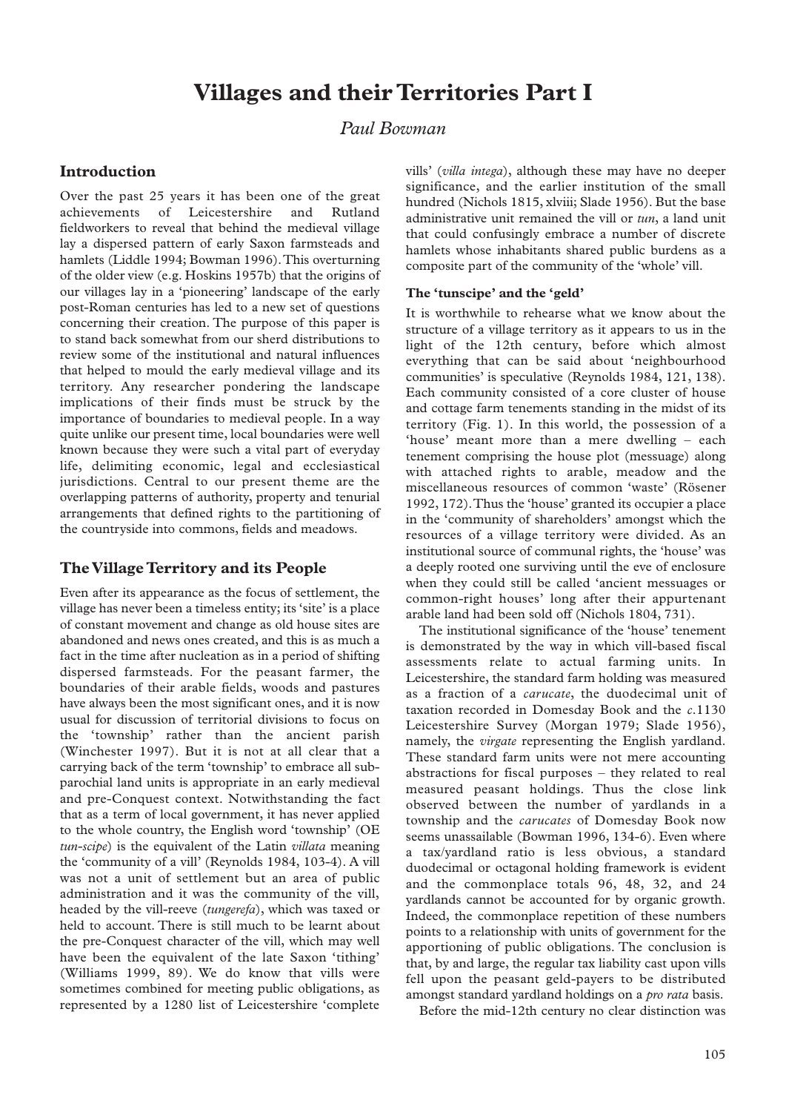# **Villages and their Territories Part I**

## *Paul Bowman*

## **Introduction**

Over the past 25 years it has been one of the great achievements of Leicestershire and Rutland fieldworkers to reveal that behind the medieval village lay a dispersed pattern of early Saxon farmsteads and hamlets (Liddle 1994; Bowman 1996).This overturning of the older view (e.g. Hoskins 1957b) that the origins of our villages lay in a 'pioneering' landscape of the early post-Roman centuries has led to a new set of questions concerning their creation. The purpose of this paper is to stand back somewhat from our sherd distributions to review some of the institutional and natural influences that helped to mould the early medieval village and its territory. Any researcher pondering the landscape implications of their finds must be struck by the importance of boundaries to medieval people. In a way quite unlike our present time, local boundaries were well known because they were such a vital part of everyday life, delimiting economic, legal and ecclesiastical jurisdictions. Central to our present theme are the overlapping patterns of authority, property and tenurial arrangements that defined rights to the partitioning of the countryside into commons, fields and meadows.

## **The Village Territory and its People**

Even after its appearance as the focus of settlement, the village has never been a timeless entity; its 'site' is a place of constant movement and change as old house sites are abandoned and news ones created, and this is as much a fact in the time after nucleation as in a period of shifting dispersed farmsteads. For the peasant farmer, the boundaries of their arable fields, woods and pastures have always been the most significant ones, and it is now usual for discussion of territorial divisions to focus on the 'township' rather than the ancient parish (Winchester 1997). But it is not at all clear that a carrying back of the term 'township' to embrace all subparochial land units is appropriate in an early medieval and pre-Conquest context. Notwithstanding the fact that as a term of local government, it has never applied to the whole country, the English word 'township' (OE *tun-scipe*) is the equivalent of the Latin *villata* meaning the 'community of a vill' (Reynolds 1984, 103-4). A vill was not a unit of settlement but an area of public administration and it was the community of the vill, headed by the vill-reeve (*tungerefa*), which was taxed or held to account. There is still much to be learnt about the pre-Conquest character of the vill, which may well have been the equivalent of the late Saxon 'tithing' (Williams 1999, 89). We do know that vills were sometimes combined for meeting public obligations, as represented by a 1280 list of Leicestershire 'complete

vills' (*villa intega*), although these may have no deeper significance, and the earlier institution of the small hundred (Nichols 1815, xlviii; Slade 1956). But the base administrative unit remained the vill or *tun*, a land unit that could confusingly embrace a number of discrete hamlets whose inhabitants shared public burdens as a composite part of the community of the 'whole' vill.

## **The 'tunscipe' and the 'geld'**

It is worthwhile to rehearse what we know about the structure of a village territory as it appears to us in the light of the 12th century, before which almost everything that can be said about 'neighbourhood communities' is speculative (Reynolds 1984, 121, 138). Each community consisted of a core cluster of house and cottage farm tenements standing in the midst of its territory (Fig. 1). In this world, the possession of a 'house' meant more than a mere dwelling – each tenement comprising the house plot (messuage) along with attached rights to arable, meadow and the miscellaneous resources of common 'waste' (Rösener 1992, 172).Thus the 'house' granted its occupier a place in the 'community of shareholders' amongst which the resources of a village territory were divided. As an institutional source of communal rights, the 'house' was a deeply rooted one surviving until the eve of enclosure when they could still be called 'ancient messuages or common-right houses' long after their appurtenant arable land had been sold off (Nichols 1804, 731).

The institutional significance of the 'house' tenement is demonstrated by the way in which vill-based fiscal assessments relate to actual farming units. In Leicestershire, the standard farm holding was measured as a fraction of a *carucate*, the duodecimal unit of taxation recorded in Domesday Book and the *c*.1130 Leicestershire Survey (Morgan 1979; Slade 1956), namely, the *virgate* representing the English yardland. These standard farm units were not mere accounting abstractions for fiscal purposes – they related to real measured peasant holdings. Thus the close link observed between the number of yardlands in a township and the *carucates* of Domesday Book now seems unassailable (Bowman 1996, 134-6). Even where a tax/yardland ratio is less obvious, a standard duodecimal or octagonal holding framework is evident and the commonplace totals 96, 48, 32, and 24 yardlands cannot be accounted for by organic growth. Indeed, the commonplace repetition of these numbers points to a relationship with units of government for the apportioning of public obligations. The conclusion is that, by and large, the regular tax liability cast upon vills fell upon the peasant geld-payers to be distributed amongst standard yardland holdings on a *pro rata* basis.

Before the mid-12th century no clear distinction was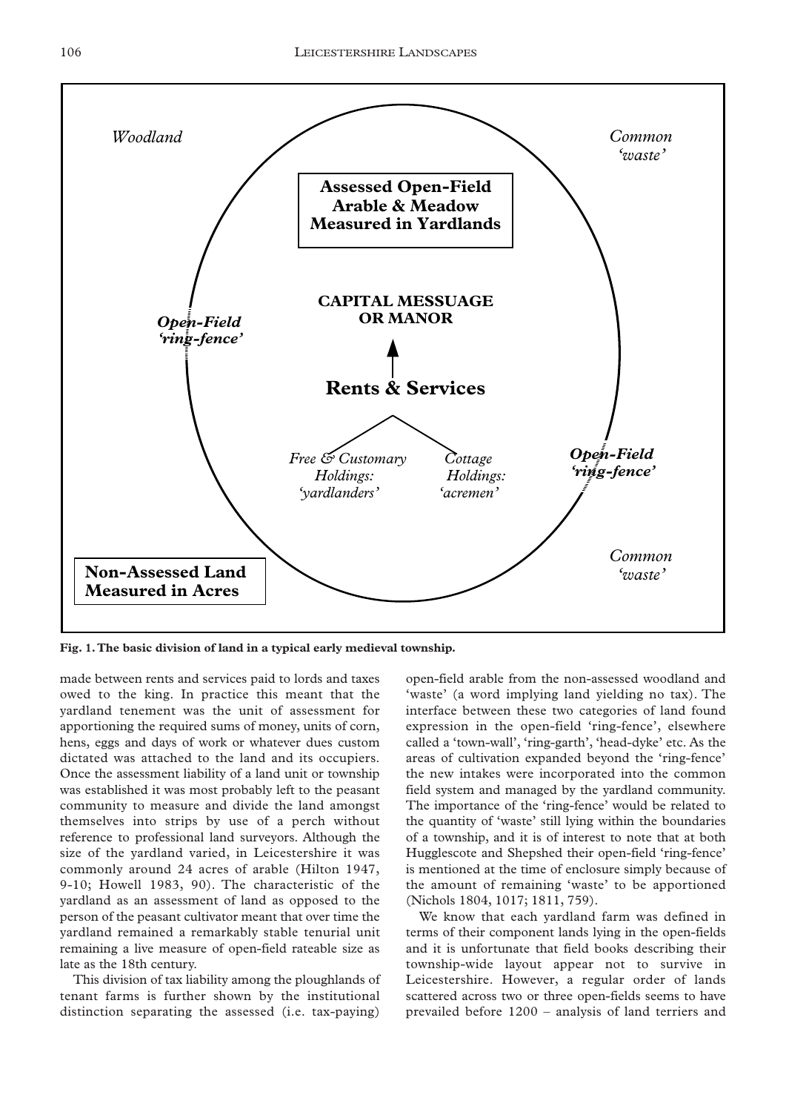

**Fig. 1.The basic division of land in a typical early medieval township.**

made between rents and services paid to lords and taxes owed to the king. In practice this meant that the yardland tenement was the unit of assessment for apportioning the required sums of money, units of corn, hens, eggs and days of work or whatever dues custom dictated was attached to the land and its occupiers. Once the assessment liability of a land unit or township was established it was most probably left to the peasant community to measure and divide the land amongst themselves into strips by use of a perch without reference to professional land surveyors. Although the size of the yardland varied, in Leicestershire it was commonly around 24 acres of arable (Hilton 1947, 9-10; Howell 1983, 90). The characteristic of the yardland as an assessment of land as opposed to the person of the peasant cultivator meant that over time the yardland remained a remarkably stable tenurial unit remaining a live measure of open-field rateable size as late as the 18th century.

This division of tax liability among the ploughlands of tenant farms is further shown by the institutional distinction separating the assessed (i.e. tax-paying)

open-field arable from the non-assessed woodland and 'waste' (a word implying land yielding no tax). The interface between these two categories of land found expression in the open-field 'ring-fence', elsewhere called a 'town-wall', 'ring-garth', 'head-dyke' etc. As the areas of cultivation expanded beyond the 'ring-fence' the new intakes were incorporated into the common field system and managed by the yardland community. The importance of the 'ring-fence' would be related to the quantity of 'waste' still lying within the boundaries of a township, and it is of interest to note that at both Hugglescote and Shepshed their open-field 'ring-fence' is mentioned at the time of enclosure simply because of the amount of remaining 'waste' to be apportioned (Nichols 1804, 1017; 1811, 759).

We know that each yardland farm was defined in terms of their component lands lying in the open-fields and it is unfortunate that field books describing their township-wide layout appear not to survive in Leicestershire. However, a regular order of lands scattered across two or three open-fields seems to have prevailed before 1200 – analysis of land terriers and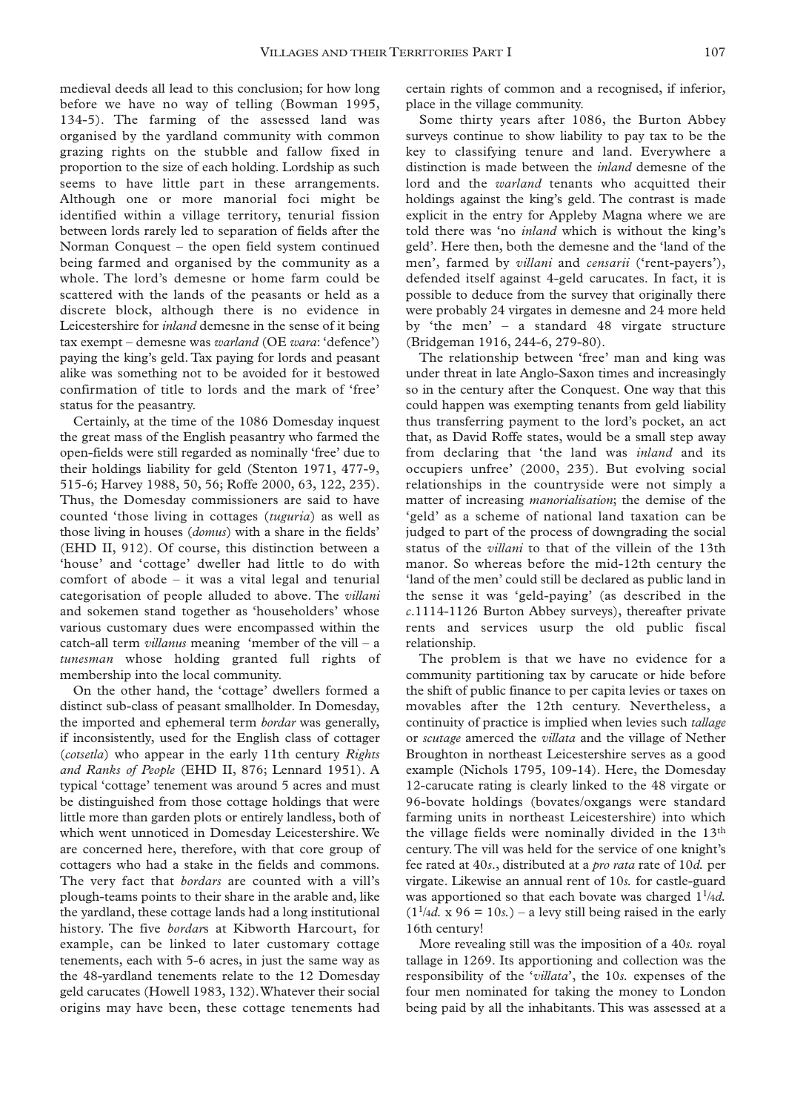medieval deeds all lead to this conclusion; for how long before we have no way of telling (Bowman 1995, 134-5). The farming of the assessed land was organised by the yardland community with common grazing rights on the stubble and fallow fixed in proportion to the size of each holding. Lordship as such seems to have little part in these arrangements. Although one or more manorial foci might be identified within a village territory, tenurial fission between lords rarely led to separation of fields after the Norman Conquest – the open field system continued being farmed and organised by the community as a whole. The lord's demesne or home farm could be scattered with the lands of the peasants or held as a discrete block, although there is no evidence in Leicestershire for *inland* demesne in the sense of it being tax exempt – demesne was *warland* (OE *wara*: 'defence') paying the king's geld. Tax paying for lords and peasant alike was something not to be avoided for it bestowed confirmation of title to lords and the mark of 'free' status for the peasantry.

Certainly, at the time of the 1086 Domesday inquest the great mass of the English peasantry who farmed the open-fields were still regarded as nominally 'free' due to their holdings liability for geld (Stenton 1971, 477-9, 515-6; Harvey 1988, 50, 56; Roffe 2000, 63, 122, 235). Thus, the Domesday commissioners are said to have counted 'those living in cottages (*tuguria*) as well as those living in houses (*domus*) with a share in the fields' (EHD II, 912). Of course, this distinction between a 'house' and 'cottage' dweller had little to do with comfort of abode – it was a vital legal and tenurial categorisation of people alluded to above. The *villani* and sokemen stand together as 'householders' whose various customary dues were encompassed within the catch-all term *villanus* meaning 'member of the vill – a *tunesman* whose holding granted full rights of membership into the local community.

On the other hand, the 'cottage' dwellers formed a distinct sub-class of peasant smallholder. In Domesday, the imported and ephemeral term *bordar* was generally, if inconsistently, used for the English class of cottager (*cotsetla*) who appear in the early 11th century *Rights and Ranks of People* (EHD II, 876; Lennard 1951). A typical 'cottage' tenement was around 5 acres and must be distinguished from those cottage holdings that were little more than garden plots or entirely landless, both of which went unnoticed in Domesday Leicestershire. We are concerned here, therefore, with that core group of cottagers who had a stake in the fields and commons. The very fact that *bordars* are counted with a vill's plough-teams points to their share in the arable and, like the yardland, these cottage lands had a long institutional history. The five *bordar*s at Kibworth Harcourt, for example, can be linked to later customary cottage tenements, each with 5-6 acres, in just the same way as the 48-yardland tenements relate to the 12 Domesday geld carucates (Howell 1983, 132).Whatever their social origins may have been, these cottage tenements had

certain rights of common and a recognised, if inferior, place in the village community.

Some thirty years after 1086, the Burton Abbey surveys continue to show liability to pay tax to be the key to classifying tenure and land. Everywhere a distinction is made between the *inland* demesne of the lord and the *warland* tenants who acquitted their holdings against the king's geld. The contrast is made explicit in the entry for Appleby Magna where we are told there was 'no *inland* which is without the king's geld'. Here then, both the demesne and the 'land of the men', farmed by *villani* and *censarii* ('rent-payers'), defended itself against 4-geld carucates. In fact, it is possible to deduce from the survey that originally there were probably 24 virgates in demesne and 24 more held by 'the men' – a standard 48 virgate structure (Bridgeman 1916, 244-6, 279-80).

The relationship between 'free' man and king was under threat in late Anglo-Saxon times and increasingly so in the century after the Conquest. One way that this could happen was exempting tenants from geld liability thus transferring payment to the lord's pocket, an act that, as David Roffe states, would be a small step away from declaring that 'the land was *inland* and its occupiers unfree' (2000, 235). But evolving social relationships in the countryside were not simply a matter of increasing *manorialisation*; the demise of the 'geld' as a scheme of national land taxation can be judged to part of the process of downgrading the social status of the *villani* to that of the villein of the 13th manor. So whereas before the mid-12th century the 'land of the men' could still be declared as public land in the sense it was 'geld-paying' (as described in the *c*.1114-1126 Burton Abbey surveys), thereafter private rents and services usurp the old public fiscal relationship.

The problem is that we have no evidence for a community partitioning tax by carucate or hide before the shift of public finance to per capita levies or taxes on movables after the 12th century. Nevertheless, a continuity of practice is implied when levies such *tallage* or *scutage* amerced the *villata* and the village of Nether Broughton in northeast Leicestershire serves as a good example (Nichols 1795, 109-14). Here, the Domesday 12-carucate rating is clearly linked to the 48 virgate or 96-bovate holdings (bovates/oxgangs were standard farming units in northeast Leicestershire) into which the village fields were nominally divided in the 13th century.The vill was held for the service of one knight's fee rated at 40*s*., distributed at a *pro rata* rate of 10*d.* per virgate. Likewise an annual rent of 10*s.* for castle-guard was apportioned so that each bovate was charged 11/4*d.*  $(1<sup>1</sup>/4d. x 96 = 10s.)$  – a levy still being raised in the early 16th century!

More revealing still was the imposition of a 40*s.* royal tallage in 1269. Its apportioning and collection was the responsibility of the '*villata*', the 10*s.* expenses of the four men nominated for taking the money to London being paid by all the inhabitants. This was assessed at a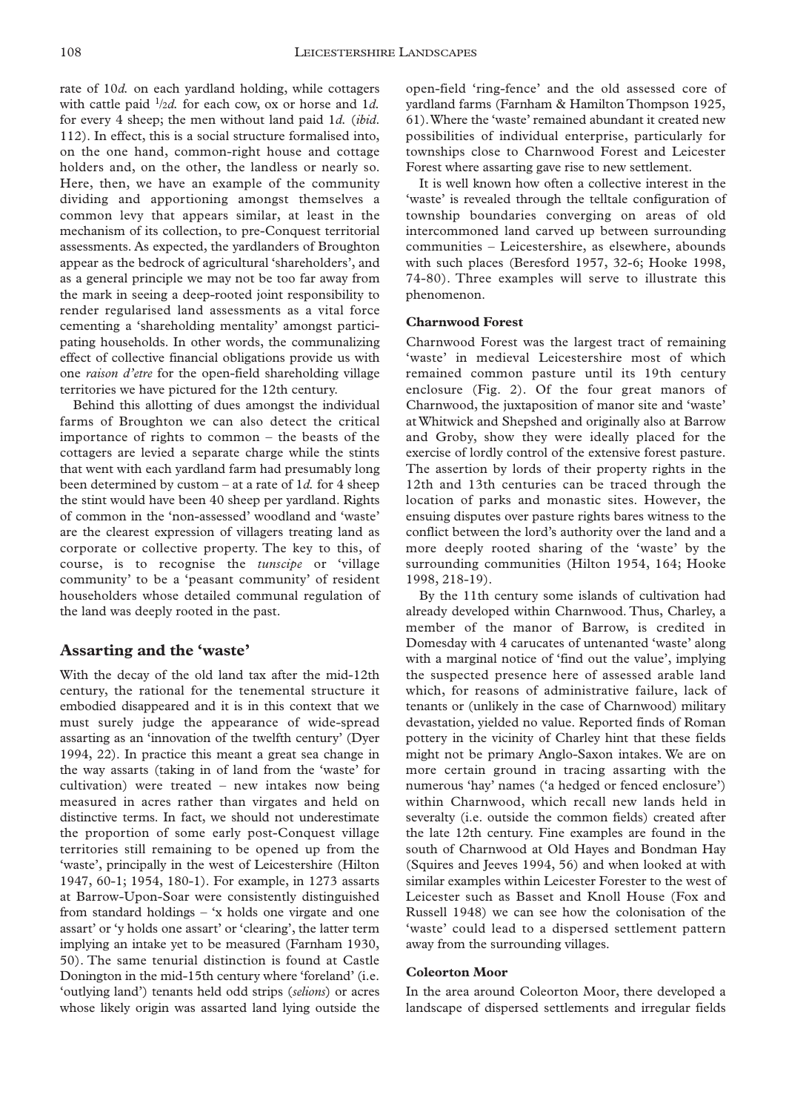rate of 10*d.* on each yardland holding, while cottagers with cattle paid 1/2*d.* for each cow, ox or horse and 1*d.* for every 4 sheep; the men without land paid 1*d.* (*ibid*. 112). In effect, this is a social structure formalised into, on the one hand, common-right house and cottage holders and, on the other, the landless or nearly so. Here, then, we have an example of the community dividing and apportioning amongst themselves a common levy that appears similar, at least in the mechanism of its collection, to pre-Conquest territorial assessments. As expected, the yardlanders of Broughton appear as the bedrock of agricultural 'shareholders', and as a general principle we may not be too far away from the mark in seeing a deep-rooted joint responsibility to render regularised land assessments as a vital force cementing a 'shareholding mentality' amongst participating households. In other words, the communalizing effect of collective financial obligations provide us with one *raison d'etre* for the open-field shareholding village territories we have pictured for the 12th century.

Behind this allotting of dues amongst the individual farms of Broughton we can also detect the critical importance of rights to common – the beasts of the cottagers are levied a separate charge while the stints that went with each yardland farm had presumably long been determined by custom – at a rate of 1*d.* for 4 sheep the stint would have been 40 sheep per yardland. Rights of common in the 'non-assessed' woodland and 'waste' are the clearest expression of villagers treating land as corporate or collective property. The key to this, of course, is to recognise the *tunscipe* or 'village community' to be a 'peasant community' of resident householders whose detailed communal regulation of the land was deeply rooted in the past.

## **Assarting and the 'waste'**

With the decay of the old land tax after the mid-12th century, the rational for the tenemental structure it embodied disappeared and it is in this context that we must surely judge the appearance of wide-spread assarting as an 'innovation of the twelfth century' (Dyer 1994, 22). In practice this meant a great sea change in the way assarts (taking in of land from the 'waste' for cultivation) were treated – new intakes now being measured in acres rather than virgates and held on distinctive terms. In fact, we should not underestimate the proportion of some early post-Conquest village territories still remaining to be opened up from the 'waste', principally in the west of Leicestershire (Hilton 1947, 60-1; 1954, 180-1). For example, in 1273 assarts at Barrow-Upon-Soar were consistently distinguished from standard holdings – 'x holds one virgate and one assart' or 'y holds one assart' or 'clearing', the latter term implying an intake yet to be measured (Farnham 1930, 50). The same tenurial distinction is found at Castle Donington in the mid-15th century where 'foreland' (i.e. 'outlying land') tenants held odd strips (*selions*) or acres whose likely origin was assarted land lying outside the

open-field 'ring-fence' and the old assessed core of yardland farms (Farnham & Hamilton Thompson 1925, 61).Where the 'waste' remained abundant it created new possibilities of individual enterprise, particularly for townships close to Charnwood Forest and Leicester Forest where assarting gave rise to new settlement.

It is well known how often a collective interest in the 'waste' is revealed through the telltale configuration of township boundaries converging on areas of old intercommoned land carved up between surrounding communities – Leicestershire, as elsewhere, abounds with such places (Beresford 1957, 32-6; Hooke 1998, 74-80). Three examples will serve to illustrate this phenomenon.

#### **Charnwood Forest**

Charnwood Forest was the largest tract of remaining 'waste' in medieval Leicestershire most of which remained common pasture until its 19th century enclosure (Fig. 2). Of the four great manors of Charnwood, the juxtaposition of manor site and 'waste' at Whitwick and Shepshed and originally also at Barrow and Groby, show they were ideally placed for the exercise of lordly control of the extensive forest pasture. The assertion by lords of their property rights in the 12th and 13th centuries can be traced through the location of parks and monastic sites. However, the ensuing disputes over pasture rights bares witness to the conflict between the lord's authority over the land and a more deeply rooted sharing of the 'waste' by the surrounding communities (Hilton 1954, 164; Hooke 1998, 218-19).

By the 11th century some islands of cultivation had already developed within Charnwood. Thus, Charley, a member of the manor of Barrow, is credited in Domesday with 4 carucates of untenanted 'waste' along with a marginal notice of 'find out the value', implying the suspected presence here of assessed arable land which, for reasons of administrative failure, lack of tenants or (unlikely in the case of Charnwood) military devastation, yielded no value. Reported finds of Roman pottery in the vicinity of Charley hint that these fields might not be primary Anglo-Saxon intakes. We are on more certain ground in tracing assarting with the numerous 'hay' names ('a hedged or fenced enclosure') within Charnwood, which recall new lands held in severalty (i.e. outside the common fields) created after the late 12th century. Fine examples are found in the south of Charnwood at Old Hayes and Bondman Hay (Squires and Jeeves 1994, 56) and when looked at with similar examples within Leicester Forester to the west of Leicester such as Basset and Knoll House (Fox and Russell 1948) we can see how the colonisation of the 'waste' could lead to a dispersed settlement pattern away from the surrounding villages.

#### **Coleorton Moor**

In the area around Coleorton Moor, there developed a landscape of dispersed settlements and irregular fields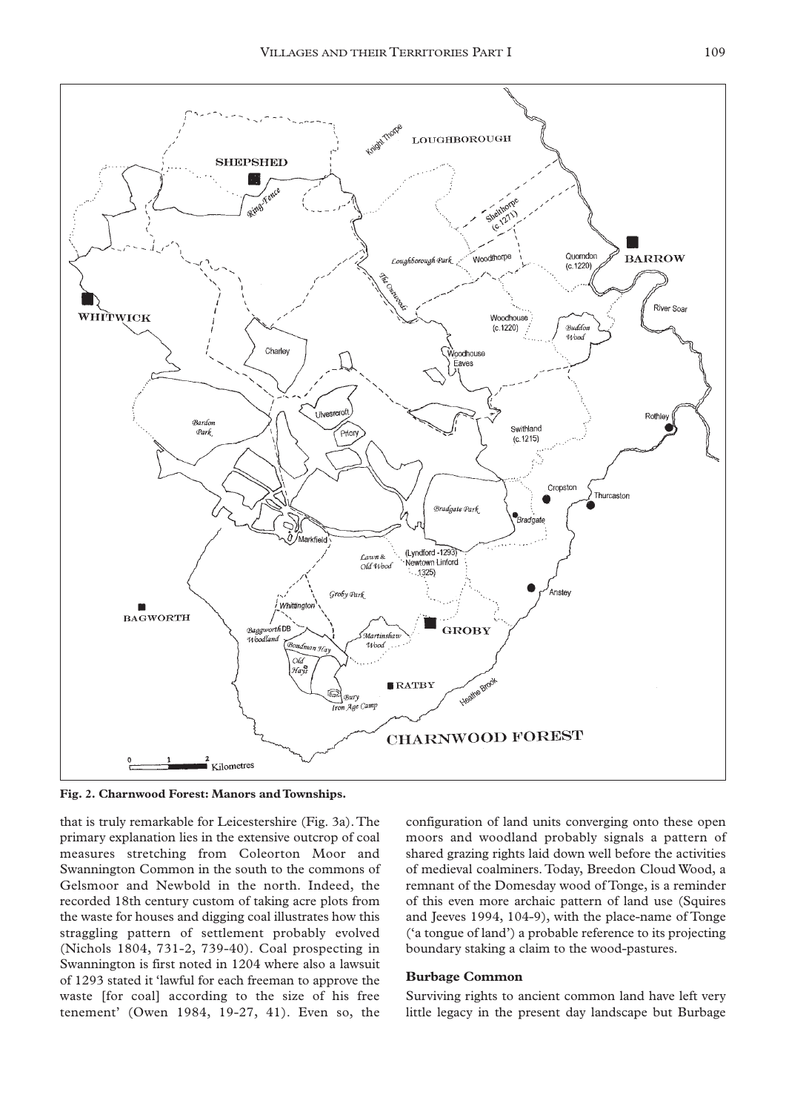

**Fig. 2. Charnwood Forest: Manors and Townships.**

that is truly remarkable for Leicestershire (Fig. 3a).The primary explanation lies in the extensive outcrop of coal measures stretching from Coleorton Moor and Swannington Common in the south to the commons of Gelsmoor and Newbold in the north. Indeed, the recorded 18th century custom of taking acre plots from the waste for houses and digging coal illustrates how this straggling pattern of settlement probably evolved (Nichols 1804, 731-2, 739-40). Coal prospecting in Swannington is first noted in 1204 where also a lawsuit of 1293 stated it 'lawful for each freeman to approve the waste [for coal] according to the size of his free tenement' (Owen 1984, 19-27, 41). Even so, the

configuration of land units converging onto these open moors and woodland probably signals a pattern of shared grazing rights laid down well before the activities of medieval coalminers. Today, Breedon Cloud Wood, a remnant of the Domesday wood of Tonge, is a reminder of this even more archaic pattern of land use (Squires and Jeeves 1994, 104-9), with the place-name of Tonge ('a tongue of land') a probable reference to its projecting boundary staking a claim to the wood-pastures.

#### **Burbage Common**

Surviving rights to ancient common land have left very little legacy in the present day landscape but Burbage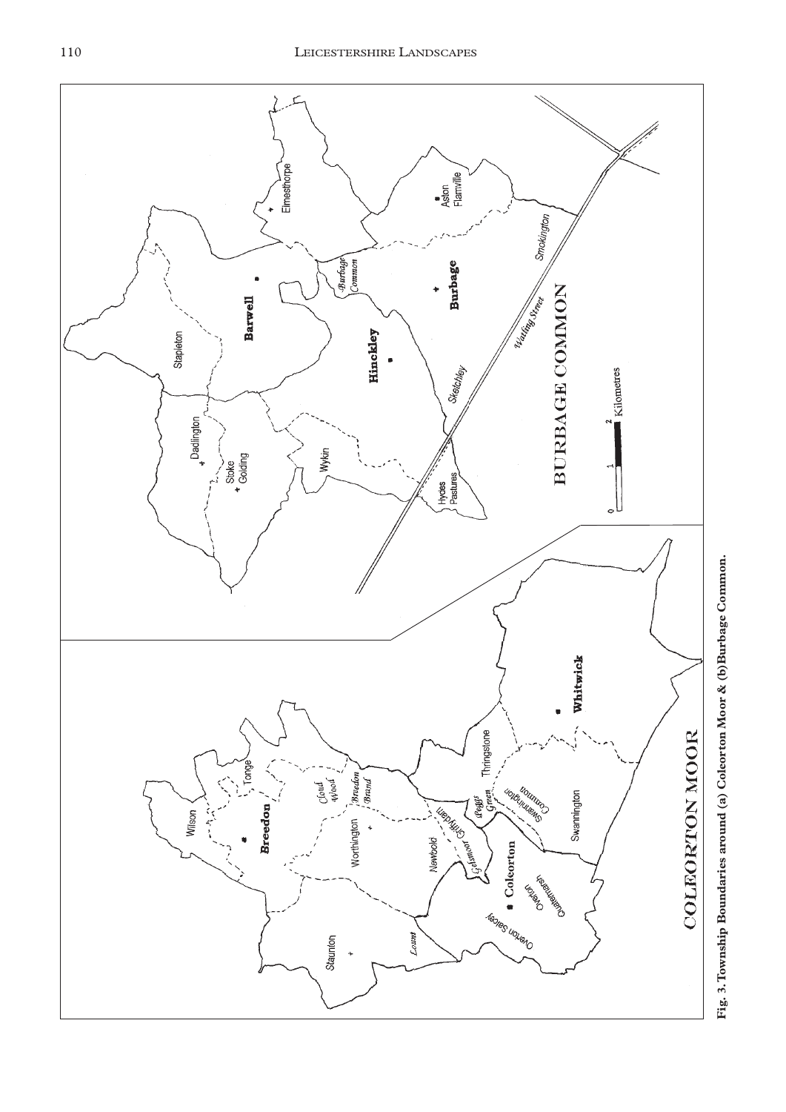

Fig. 3. Township Boundaries around (a) Coleorton Moor & (b)Burbage Common. **Township Boundaries around (a) Coleorton Moor & (b)Burbage Common.**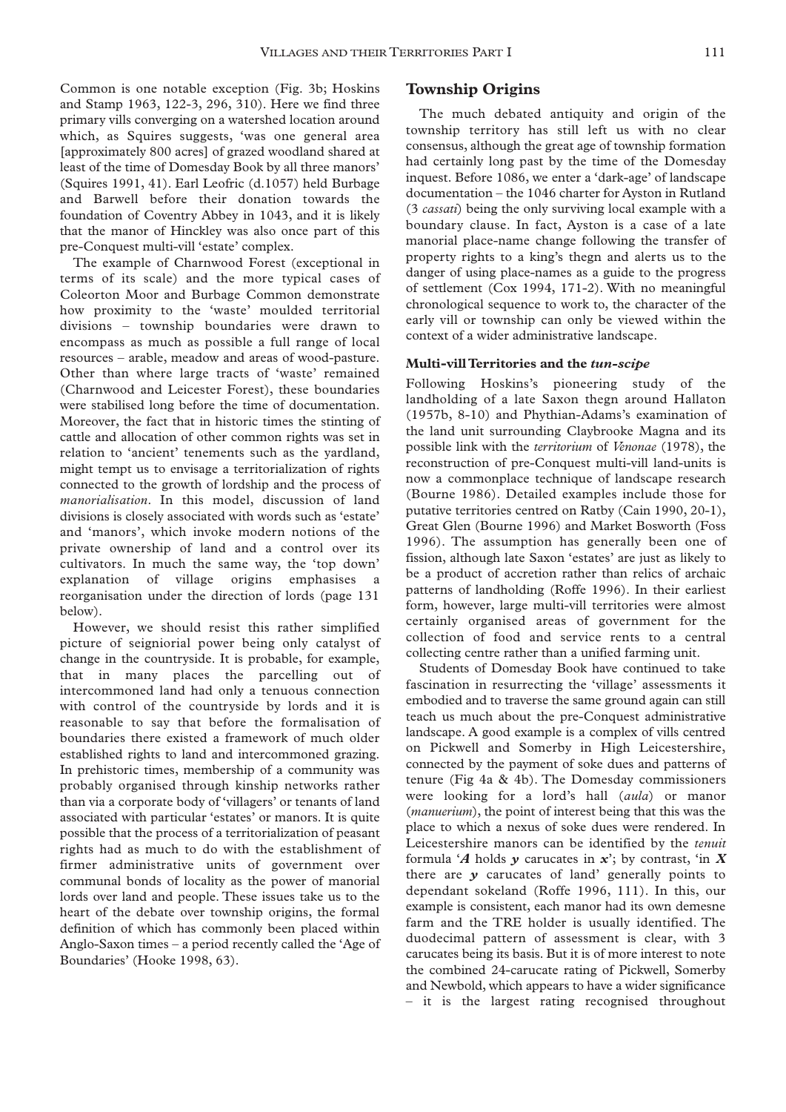Common is one notable exception (Fig. 3b; Hoskins and Stamp 1963, 122-3, 296, 310). Here we find three primary vills converging on a watershed location around which, as Squires suggests, 'was one general area [approximately 800 acres] of grazed woodland shared at least of the time of Domesday Book by all three manors' (Squires 1991, 41). Earl Leofric (d.1057) held Burbage and Barwell before their donation towards the foundation of Coventry Abbey in 1043, and it is likely that the manor of Hinckley was also once part of this pre-Conquest multi-vill 'estate' complex.

The example of Charnwood Forest (exceptional in terms of its scale) and the more typical cases of Coleorton Moor and Burbage Common demonstrate how proximity to the 'waste' moulded territorial divisions – township boundaries were drawn to encompass as much as possible a full range of local resources – arable, meadow and areas of wood-pasture. Other than where large tracts of 'waste' remained (Charnwood and Leicester Forest), these boundaries were stabilised long before the time of documentation. Moreover, the fact that in historic times the stinting of cattle and allocation of other common rights was set in relation to 'ancient' tenements such as the yardland, might tempt us to envisage a territorialization of rights connected to the growth of lordship and the process of *manorialisation*. In this model, discussion of land divisions is closely associated with words such as 'estate' and 'manors', which invoke modern notions of the private ownership of land and a control over its cultivators. In much the same way, the 'top down' explanation of village origins emphasises a reorganisation under the direction of lords (page 131 below).

However, we should resist this rather simplified picture of seigniorial power being only catalyst of change in the countryside. It is probable, for example, that in many places the parcelling out of intercommoned land had only a tenuous connection with control of the countryside by lords and it is reasonable to say that before the formalisation of boundaries there existed a framework of much older established rights to land and intercommoned grazing. In prehistoric times, membership of a community was probably organised through kinship networks rather than via a corporate body of 'villagers' or tenants of land associated with particular 'estates' or manors. It is quite possible that the process of a territorialization of peasant rights had as much to do with the establishment of firmer administrative units of government over communal bonds of locality as the power of manorial lords over land and people. These issues take us to the heart of the debate over township origins, the formal definition of which has commonly been placed within Anglo-Saxon times – a period recently called the 'Age of Boundaries' (Hooke 1998, 63).

## **Township Origins**

The much debated antiquity and origin of the township territory has still left us with no clear consensus, although the great age of township formation had certainly long past by the time of the Domesday inquest. Before 1086, we enter a 'dark-age' of landscape documentation – the 1046 charter for Ayston in Rutland (3 *cassati*) being the only surviving local example with a boundary clause. In fact, Ayston is a case of a late manorial place-name change following the transfer of property rights to a king's thegn and alerts us to the danger of using place-names as a guide to the progress of settlement (Cox 1994, 171-2). With no meaningful chronological sequence to work to, the character of the early vill or township can only be viewed within the context of a wider administrative landscape.

#### **Multi-vill Territories and the** *tun-scipe*

Following Hoskins's pioneering study of the landholding of a late Saxon thegn around Hallaton (1957b, 8-10) and Phythian-Adams's examination of the land unit surrounding Claybrooke Magna and its possible link with the *territorium* of *Venonae* (1978), the reconstruction of pre-Conquest multi-vill land-units is now a commonplace technique of landscape research (Bourne 1986). Detailed examples include those for putative territories centred on Ratby (Cain 1990, 20-1), Great Glen (Bourne 1996) and Market Bosworth (Foss 1996). The assumption has generally been one of fission, although late Saxon 'estates' are just as likely to be a product of accretion rather than relics of archaic patterns of landholding (Roffe 1996). In their earliest form, however, large multi-vill territories were almost certainly organised areas of government for the collection of food and service rents to a central collecting centre rather than a unified farming unit.

Students of Domesday Book have continued to take fascination in resurrecting the 'village' assessments it embodied and to traverse the same ground again can still teach us much about the pre-Conquest administrative landscape. A good example is a complex of vills centred on Pickwell and Somerby in High Leicestershire, connected by the payment of soke dues and patterns of tenure (Fig 4a & 4b). The Domesday commissioners were looking for a lord's hall (*aula*) or manor (*manuerium*), the point of interest being that this was the place to which a nexus of soke dues were rendered. In Leicestershire manors can be identified by the *tenuit* formula '*A* holds *y* carucates in *x*'; by contrast, 'in *X* there are *y* carucates of land' generally points to dependant sokeland (Roffe 1996, 111). In this, our example is consistent, each manor had its own demesne farm and the TRE holder is usually identified. The duodecimal pattern of assessment is clear, with 3 carucates being its basis. But it is of more interest to note the combined 24-carucate rating of Pickwell, Somerby and Newbold, which appears to have a wider significance – it is the largest rating recognised throughout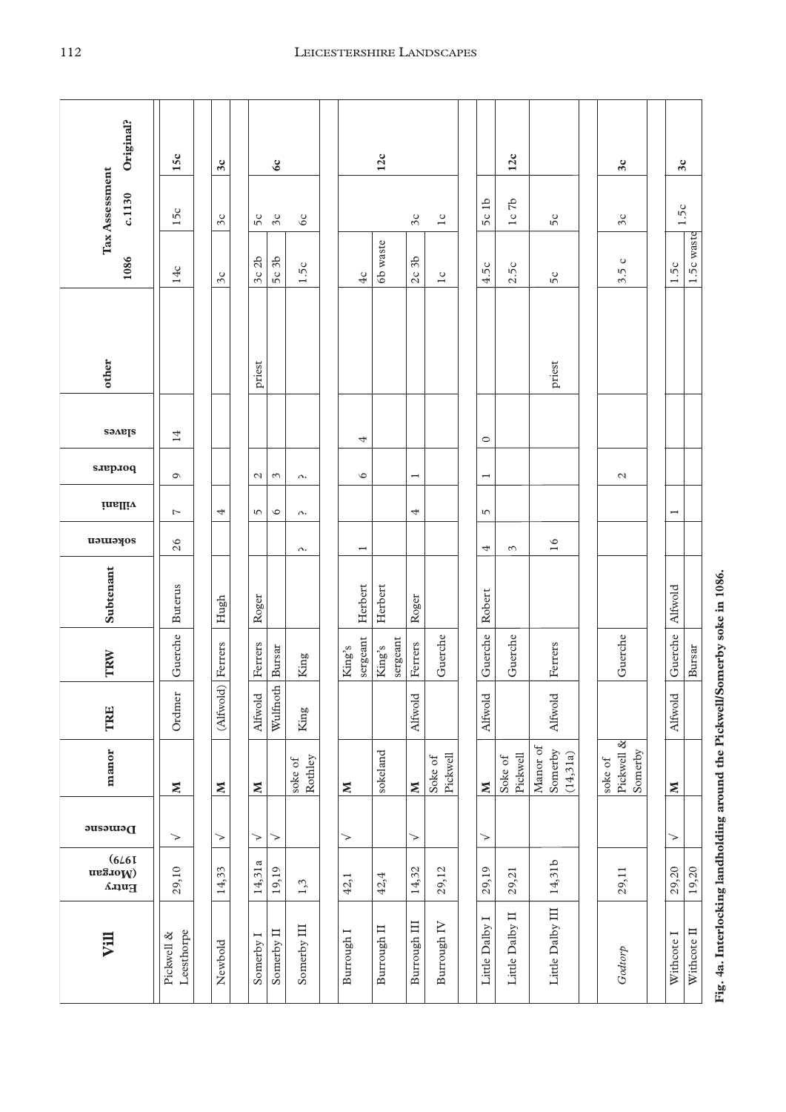| Original?                                                                                                                                                                                                                                                                                                                                                                                                                | 15c                      | 3c                       |                                 | $\infty$      |                    | 12c |                          |                          |                    |                             |                     |  |                                                           | 12c                 |                     |           |         | 3c                          | 3c                       |             |                                                                             |
|--------------------------------------------------------------------------------------------------------------------------------------------------------------------------------------------------------------------------------------------------------------------------------------------------------------------------------------------------------------------------------------------------------------------------|--------------------------|--------------------------|---------------------------------|---------------|--------------------|-----|--------------------------|--------------------------|--------------------|-----------------------------|---------------------|--|-----------------------------------------------------------|---------------------|---------------------|-----------|---------|-----------------------------|--------------------------|-------------|-----------------------------------------------------------------------------|
| Tax Assessment<br>c.1130                                                                                                                                                                                                                                                                                                                                                                                                 | 15c                      | $\Im c$                  | 5c                              | Зc            | 6c                 |     |                          |                          |                    | $\mathfrak{Z}_{\mathsf{C}}$ | 1c                  |  | 5c1b                                                      | 57<br>1c            | 50                  |           |         | $\mathfrak{Z}_{\mathsf{C}}$ | 1.5c                     |             |                                                                             |
| 1086                                                                                                                                                                                                                                                                                                                                                                                                                     |                          |                          | 3c 2b                           | 5c 3b         | 1.5c               |     |                          |                          | 6b waste           | 3 <sub>b</sub>              |                     |  | 4.5c                                                      | 2.5c                |                     |           |         | $\circ$                     | 1.5c                     | 1.5c waste  |                                                                             |
|                                                                                                                                                                                                                                                                                                                                                                                                                          | 14c                      | 3c                       |                                 |               |                    |     |                          | 4c                       |                    | 2c                          | 1c                  |  |                                                           |                     | 5c                  |           |         | 3.5                         |                          |             |                                                                             |
|                                                                                                                                                                                                                                                                                                                                                                                                                          |                          |                          |                                 |               |                    |     |                          |                          |                    |                             |                     |  |                                                           |                     |                     |           |         |                             |                          |             |                                                                             |
| other                                                                                                                                                                                                                                                                                                                                                                                                                    |                          |                          | priest                          |               |                    |     |                          |                          |                    |                             |                     |  |                                                           |                     | priest              |           |         |                             |                          |             |                                                                             |
| saneps                                                                                                                                                                                                                                                                                                                                                                                                                   | 14                       |                          |                                 |               |                    |     |                          |                          |                    |                             |                     |  |                                                           |                     |                     |           |         |                             |                          |             |                                                                             |
| saepaoq                                                                                                                                                                                                                                                                                                                                                                                                                  | $\circ$                  |                          |                                 | $\sim$        |                    |     |                          | 4<br>$\circ$             |                    |                             |                     |  | $\circ$                                                   |                     |                     |           |         | $\mathcal{L}$               |                          |             |                                                                             |
| inalliv                                                                                                                                                                                                                                                                                                                                                                                                                  | 1                        | 4                        | $\mathcal{L}$<br>$\overline{5}$ | $\circ$       | Λ.<br>Λ.           |     |                          |                          |                    | $\overline{ }$<br>4         |                     |  | $\overline{\phantom{0}}$<br>$\overline{5}$                |                     |                     |           |         |                             | $\overline{\phantom{a}}$ |             |                                                                             |
| aokemen                                                                                                                                                                                                                                                                                                                                                                                                                  | 26                       |                          |                                 |               | Λ.                 |     |                          | $\overline{\phantom{0}}$ |                    |                             |                     |  | 4                                                         | $\epsilon$          | 16                  |           |         |                             |                          |             |                                                                             |
| Subtenant                                                                                                                                                                                                                                                                                                                                                                                                                | <b>Buterus</b>           | Hugh                     | Roger                           |               |                    |     |                          | Herbert                  | Herbert            | Roger                       |                     |  | Robert                                                    |                     |                     |           |         |                             | Alfwold                  |             |                                                                             |
| TRW                                                                                                                                                                                                                                                                                                                                                                                                                      | Guerche                  | Ferrers                  | Ferrers                         | Bursar        | King               |     | King's                   | sergeant                 | sergeant<br>King's | Ferrers                     | Guerche             |  | Guerche                                                   | Guerche             | Ferrers             |           |         | Guerche                     | Guerche                  | Bursar      |                                                                             |
| <b>TRE</b>                                                                                                                                                                                                                                                                                                                                                                                                               | Ordmer                   | (Alfwold)                | Alfwold                         | Wulfnoth      | King               |     |                          |                          |                    | Alfwold                     |                     |  | Alfwold                                                   |                     | <b>Alfwold</b>      |           |         |                             | Alfwold                  |             |                                                                             |
| manor                                                                                                                                                                                                                                                                                                                                                                                                                    | $\mathbf{N}$             | $\geq$                   | $\mathbb{N}$                    |               | Rothley<br>soke of |     | $\boldsymbol{\Sigma}$    |                          | sokeland           | $\boldsymbol{\Sigma}$       | Pickwell<br>Soke of |  | $\mathbf{N}% _{1}\in \mathbf{N}_{2}\times \mathbf{N}_{2}$ | Pickwell<br>Soke of | Manor of<br>Somerby | (14, 31a) | soke of | Pickwell &<br>Somerby       | $\boldsymbol{\Sigma}$    |             |                                                                             |
| Demesne                                                                                                                                                                                                                                                                                                                                                                                                                  | ⇁                        | $\overline{\phantom{0}}$ | >                               | $\rightarrow$ |                    |     | $\overline{\phantom{0}}$ |                          |                    | $\overline{\phantom{0}}$    |                     |  | $\overline{\phantom{0}}$                                  |                     |                     |           |         |                             | >                        |             |                                                                             |
| $\begin{array}{c} (6 \angle 61) \ \text{m} \ \text{S} \ \text{S} \ \text{S} \ \text{S} \ \text{S} \ \text{S} \ \text{S} \ \text{S} \ \text{S} \ \text{S} \ \text{S} \ \text{S} \ \text{S} \ \text{S} \ \text{S} \ \text{S} \ \text{S} \ \text{S} \ \text{S} \ \text{S} \ \text{S} \ \text{S} \ \text{S} \ \text{S} \ \text{S} \ \text{S} \ \text{S} \ \text{S} \ \text{S} \ \text{S} \ \text{S} \ \text{S} \ \text{S} \$ | 29,10                    | 14,33                    | 14,31a                          | 19,19         | 1,3                |     | 42,1                     |                          | 42,4               | 14,32                       | 29,12               |  | 29,19                                                     | 29,21               | 14,31b              |           |         | 29,11                       | 29,20                    | 19,20       |                                                                             |
| Vill                                                                                                                                                                                                                                                                                                                                                                                                                     | Leesthorpe<br>Pickwell & | Newbold                  | Somerby I                       | Somerby II    | Somerby III        |     | Burrough I               |                          | Burrough II        | Burrough III                | Burrough IV         |  | Little Dalby I                                            | Little Dalby II     | Little Dalby III    |           |         | Godtorp                     | Withcote I               | Withcote II | Fig. 4a. Interlocking landholding around the Pickwell/Somerby soke in 1086. |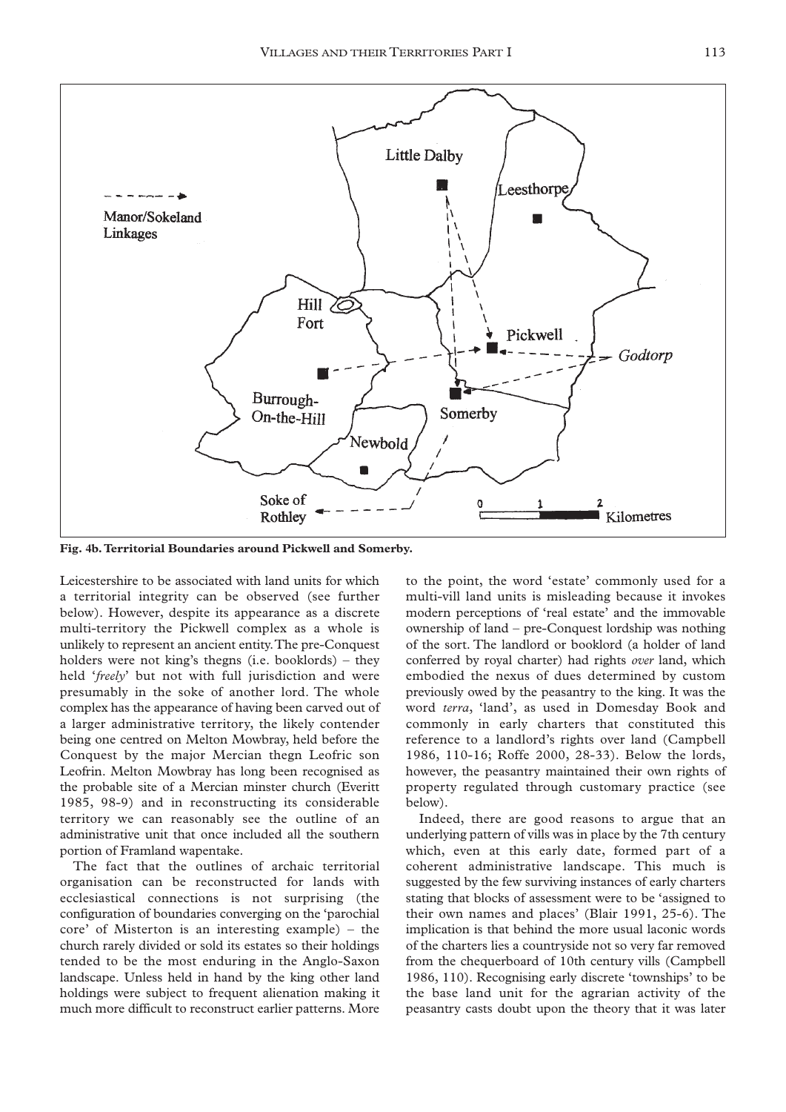

**Fig. 4b.Territorial Boundaries around Pickwell and Somerby.**

Leicestershire to be associated with land units for which a territorial integrity can be observed (see further below). However, despite its appearance as a discrete multi-territory the Pickwell complex as a whole is unlikely to represent an ancient entity.The pre-Conquest holders were not king's thegns (i.e. booklords) – they held '*freely*' but not with full jurisdiction and were presumably in the soke of another lord. The whole complex has the appearance of having been carved out of a larger administrative territory, the likely contender being one centred on Melton Mowbray, held before the Conquest by the major Mercian thegn Leofric son Leofrin. Melton Mowbray has long been recognised as the probable site of a Mercian minster church (Everitt 1985, 98-9) and in reconstructing its considerable territory we can reasonably see the outline of an administrative unit that once included all the southern portion of Framland wapentake.

The fact that the outlines of archaic territorial organisation can be reconstructed for lands with ecclesiastical connections is not surprising (the configuration of boundaries converging on the 'parochial core' of Misterton is an interesting example) – the church rarely divided or sold its estates so their holdings tended to be the most enduring in the Anglo-Saxon landscape. Unless held in hand by the king other land holdings were subject to frequent alienation making it much more difficult to reconstruct earlier patterns. More

to the point, the word 'estate' commonly used for a multi-vill land units is misleading because it invokes modern perceptions of 'real estate' and the immovable ownership of land – pre-Conquest lordship was nothing of the sort. The landlord or booklord (a holder of land conferred by royal charter) had rights *over* land, which embodied the nexus of dues determined by custom previously owed by the peasantry to the king. It was the word *terra*, 'land', as used in Domesday Book and commonly in early charters that constituted this reference to a landlord's rights over land (Campbell 1986, 110-16; Roffe 2000, 28-33). Below the lords, however, the peasantry maintained their own rights of property regulated through customary practice (see below).

Indeed, there are good reasons to argue that an underlying pattern of vills was in place by the 7th century which, even at this early date, formed part of a coherent administrative landscape. This much is suggested by the few surviving instances of early charters stating that blocks of assessment were to be 'assigned to their own names and places' (Blair 1991, 25-6). The implication is that behind the more usual laconic words of the charters lies a countryside not so very far removed from the chequerboard of 10th century vills (Campbell 1986, 110). Recognising early discrete 'townships' to be the base land unit for the agrarian activity of the peasantry casts doubt upon the theory that it was later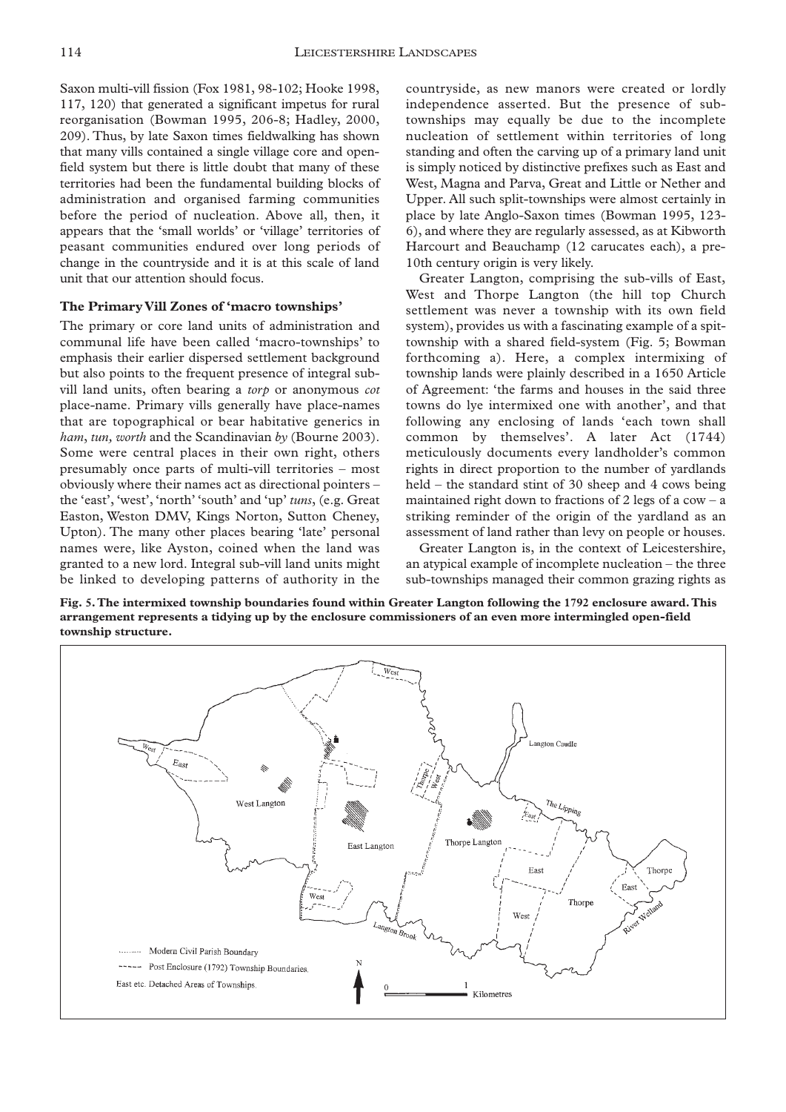Saxon multi-vill fission (Fox 1981, 98-102; Hooke 1998, 117, 120) that generated a significant impetus for rural reorganisation (Bowman 1995, 206-8; Hadley, 2000, 209). Thus, by late Saxon times fieldwalking has shown that many vills contained a single village core and openfield system but there is little doubt that many of these territories had been the fundamental building blocks of administration and organised farming communities before the period of nucleation. Above all, then, it appears that the 'small worlds' or 'village' territories of peasant communities endured over long periods of change in the countryside and it is at this scale of land unit that our attention should focus.

#### **The Primary Vill Zones of 'macro townships'**

The primary or core land units of administration and communal life have been called 'macro-townships' to emphasis their earlier dispersed settlement background but also points to the frequent presence of integral subvill land units, often bearing a *torp* or anonymous *cot* place-name. Primary vills generally have place-names that are topographical or bear habitative generics in *ham*, *tun, worth* and the Scandinavian *by* (Bourne 2003). Some were central places in their own right, others presumably once parts of multi-vill territories – most obviously where their names act as directional pointers – the 'east', 'west', 'north' 'south' and 'up' *tuns*, (e.g. Great Easton, Weston DMV, Kings Norton, Sutton Cheney, Upton). The many other places bearing 'late' personal names were, like Ayston, coined when the land was granted to a new lord. Integral sub-vill land units might be linked to developing patterns of authority in the

countryside, as new manors were created or lordly independence asserted. But the presence of subtownships may equally be due to the incomplete nucleation of settlement within territories of long standing and often the carving up of a primary land unit is simply noticed by distinctive prefixes such as East and West, Magna and Parva, Great and Little or Nether and Upper. All such split-townships were almost certainly in place by late Anglo-Saxon times (Bowman 1995, 123- 6), and where they are regularly assessed, as at Kibworth Harcourt and Beauchamp (12 carucates each), a pre-10th century origin is very likely.

Greater Langton, comprising the sub-vills of East, West and Thorpe Langton (the hill top Church settlement was never a township with its own field system), provides us with a fascinating example of a spittownship with a shared field-system (Fig. 5; Bowman forthcoming a). Here, a complex intermixing of township lands were plainly described in a 1650 Article of Agreement: 'the farms and houses in the said three towns do lye intermixed one with another', and that following any enclosing of lands 'each town shall common by themselves'. A later Act (1744) meticulously documents every landholder's common rights in direct proportion to the number of yardlands held – the standard stint of 30 sheep and 4 cows being maintained right down to fractions of 2 legs of a  $\text{row} - \text{a}$ striking reminder of the origin of the yardland as an assessment of land rather than levy on people or houses.

Greater Langton is, in the context of Leicestershire, an atypical example of incomplete nucleation – the three sub-townships managed their common grazing rights as

**Fig. 5.The intermixed township boundaries found within Greater Langton following the 1792 enclosure award.This arrangement represents a tidying up by the enclosure commissioners of an even more intermingled open-field township structure.**

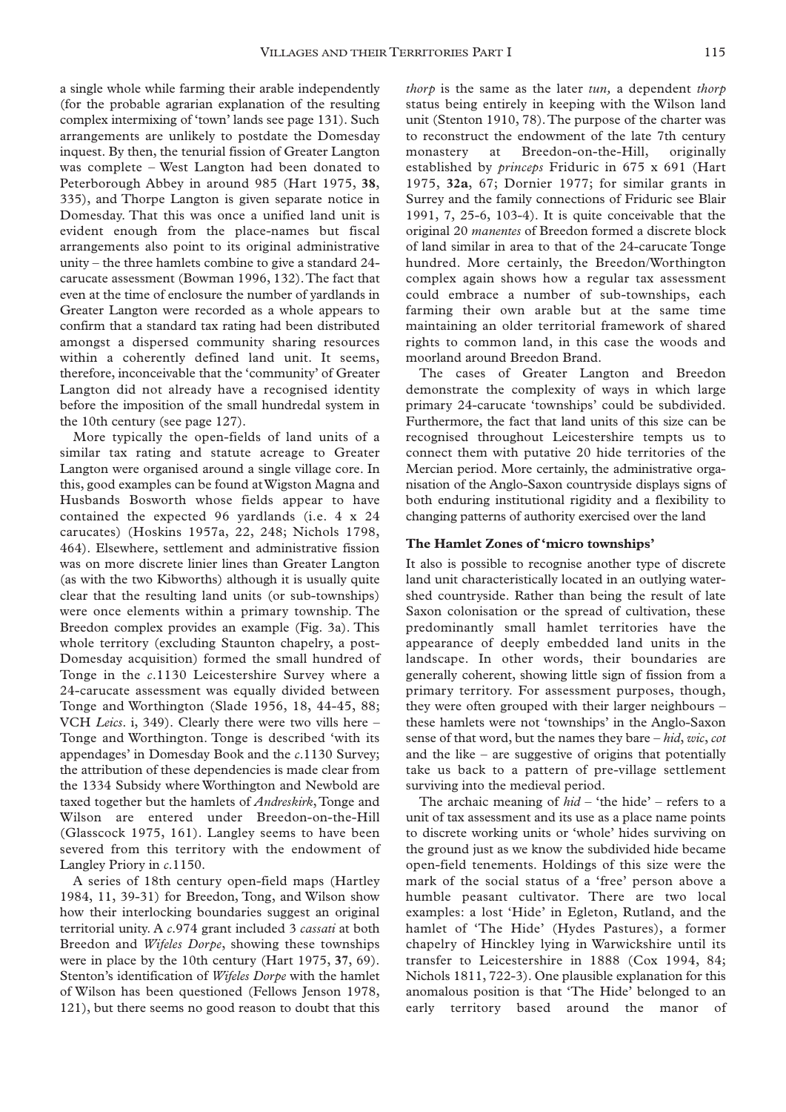a single whole while farming their arable independently (for the probable agrarian explanation of the resulting complex intermixing of 'town' lands see page 131). Such arrangements are unlikely to postdate the Domesday inquest. By then, the tenurial fission of Greater Langton was complete – West Langton had been donated to Peterborough Abbey in around 985 (Hart 1975, **38**, 335), and Thorpe Langton is given separate notice in Domesday. That this was once a unified land unit is evident enough from the place-names but fiscal arrangements also point to its original administrative unity – the three hamlets combine to give a standard 24 carucate assessment (Bowman 1996, 132).The fact that even at the time of enclosure the number of yardlands in Greater Langton were recorded as a whole appears to confirm that a standard tax rating had been distributed amongst a dispersed community sharing resources within a coherently defined land unit. It seems, therefore, inconceivable that the 'community' of Greater Langton did not already have a recognised identity before the imposition of the small hundredal system in the 10th century (see page 127).

More typically the open-fields of land units of a similar tax rating and statute acreage to Greater Langton were organised around a single village core. In this, good examples can be found at Wigston Magna and Husbands Bosworth whose fields appear to have contained the expected 96 yardlands (i.e. 4 x 24 carucates) (Hoskins 1957a, 22, 248; Nichols 1798, 464). Elsewhere, settlement and administrative fission was on more discrete linier lines than Greater Langton (as with the two Kibworths) although it is usually quite clear that the resulting land units (or sub-townships) were once elements within a primary township. The Breedon complex provides an example (Fig. 3a). This whole territory (excluding Staunton chapelry, a post-Domesday acquisition) formed the small hundred of Tonge in the *c*.1130 Leicestershire Survey where a 24-carucate assessment was equally divided between Tonge and Worthington (Slade 1956, 18, 44-45, 88; VCH *Leics*. i, 349). Clearly there were two vills here – Tonge and Worthington. Tonge is described 'with its appendages' in Domesday Book and the *c*.1130 Survey; the attribution of these dependencies is made clear from the 1334 Subsidy where Worthington and Newbold are taxed together but the hamlets of *Andreskirk*, Tonge and Wilson are entered under Breedon-on-the-Hill (Glasscock 1975, 161). Langley seems to have been severed from this territory with the endowment of Langley Priory in *c*.1150.

A series of 18th century open-field maps (Hartley 1984, 11, 39-31) for Breedon, Tong, and Wilson show how their interlocking boundaries suggest an original territorial unity. A *c*.974 grant included 3 *cassati* at both Breedon and *Wifeles Dorpe*, showing these townships were in place by the 10th century (Hart 1975, **37**, 69). Stenton's identification of *Wifeles Dorpe* with the hamlet of Wilson has been questioned (Fellows Jenson 1978, 121), but there seems no good reason to doubt that this

*thorp* is the same as the later *tun,* a dependent *thorp* status being entirely in keeping with the Wilson land unit (Stenton 1910, 78).The purpose of the charter was to reconstruct the endowment of the late 7th century monastery at Breedon-on-the-Hill, originally established by *princeps* Friduric in 675 x 691 (Hart 1975, **32a**, 67; Dornier 1977; for similar grants in Surrey and the family connections of Friduric see Blair 1991, 7, 25-6, 103-4). It is quite conceivable that the original 20 *manentes* of Breedon formed a discrete block of land similar in area to that of the 24-carucate Tonge hundred. More certainly, the Breedon/Worthington complex again shows how a regular tax assessment could embrace a number of sub-townships, each farming their own arable but at the same time maintaining an older territorial framework of shared rights to common land, in this case the woods and moorland around Breedon Brand.

The cases of Greater Langton and Breedon demonstrate the complexity of ways in which large primary 24-carucate 'townships' could be subdivided. Furthermore, the fact that land units of this size can be recognised throughout Leicestershire tempts us to connect them with putative 20 hide territories of the Mercian period. More certainly, the administrative organisation of the Anglo-Saxon countryside displays signs of both enduring institutional rigidity and a flexibility to changing patterns of authority exercised over the land

#### **The Hamlet Zones of 'micro townships'**

It also is possible to recognise another type of discrete land unit characteristically located in an outlying watershed countryside. Rather than being the result of late Saxon colonisation or the spread of cultivation, these predominantly small hamlet territories have the appearance of deeply embedded land units in the landscape. In other words, their boundaries are generally coherent, showing little sign of fission from a primary territory. For assessment purposes, though, they were often grouped with their larger neighbours – these hamlets were not 'townships' in the Anglo-Saxon sense of that word, but the names they bare – *hid*, *wic*, *cot* and the like – are suggestive of origins that potentially take us back to a pattern of pre-village settlement surviving into the medieval period.

The archaic meaning of *hid* – 'the hide' – refers to a unit of tax assessment and its use as a place name points to discrete working units or 'whole' hides surviving on the ground just as we know the subdivided hide became open-field tenements. Holdings of this size were the mark of the social status of a 'free' person above a humble peasant cultivator. There are two local examples: a lost 'Hide' in Egleton, Rutland, and the hamlet of 'The Hide' (Hydes Pastures), a former chapelry of Hinckley lying in Warwickshire until its transfer to Leicestershire in 1888 (Cox 1994, 84; Nichols 1811, 722-3). One plausible explanation for this anomalous position is that 'The Hide' belonged to an early territory based around the manor of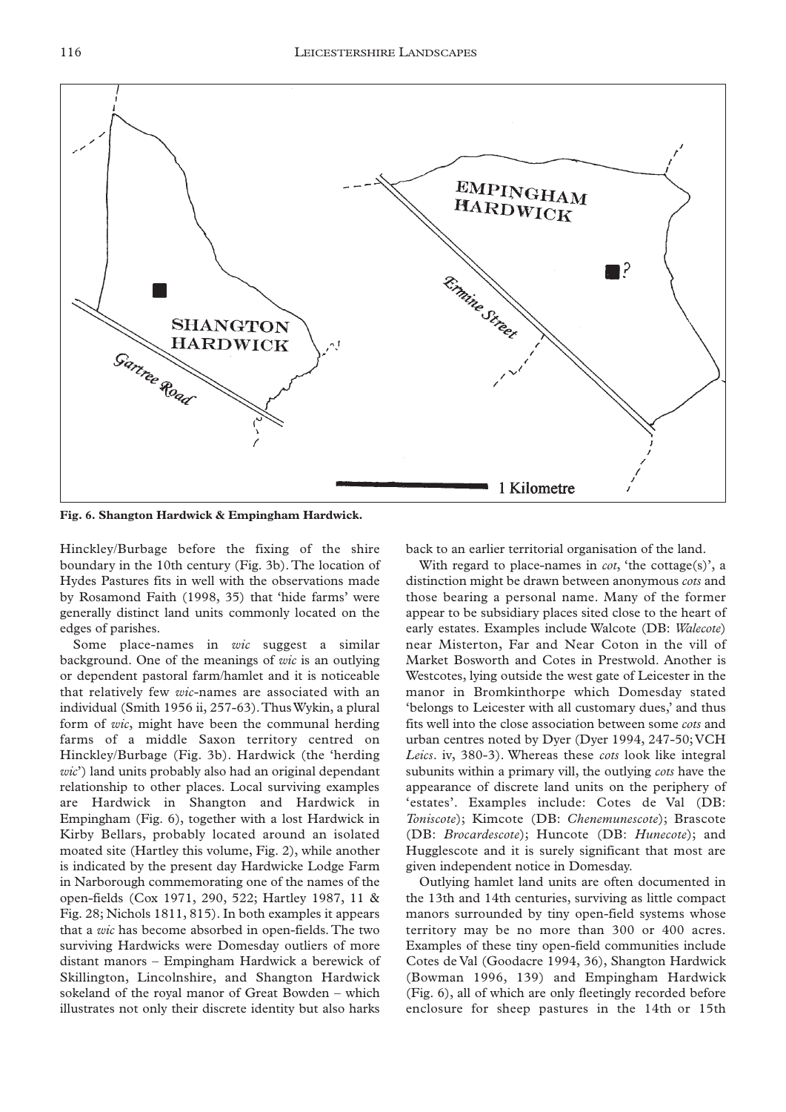

**Fig. 6. Shangton Hardwick & Empingham Hardwick.**

Hinckley/Burbage before the fixing of the shire boundary in the 10th century (Fig. 3b). The location of Hydes Pastures fits in well with the observations made by Rosamond Faith (1998, 35) that 'hide farms' were generally distinct land units commonly located on the edges of parishes.

Some place-names in *wic* suggest a similar background. One of the meanings of *wic* is an outlying or dependent pastoral farm/hamlet and it is noticeable that relatively few *wic*-names are associated with an individual (Smith 1956 ii, 257-63).Thus Wykin, a plural form of *wic*, might have been the communal herding farms of a middle Saxon territory centred on Hinckley/Burbage (Fig. 3b). Hardwick (the 'herding *wic*') land units probably also had an original dependant relationship to other places. Local surviving examples are Hardwick in Shangton and Hardwick in Empingham (Fig. 6), together with a lost Hardwick in Kirby Bellars, probably located around an isolated moated site (Hartley this volume, Fig. 2), while another is indicated by the present day Hardwicke Lodge Farm in Narborough commemorating one of the names of the open-fields (Cox 1971, 290, 522; Hartley 1987, 11 & Fig. 28; Nichols 1811, 815). In both examples it appears that a *wic* has become absorbed in open-fields. The two surviving Hardwicks were Domesday outliers of more distant manors – Empingham Hardwick a berewick of Skillington, Lincolnshire, and Shangton Hardwick sokeland of the royal manor of Great Bowden – which illustrates not only their discrete identity but also harks

back to an earlier territorial organisation of the land.

With regard to place-names in *cot*, 'the cottage(s)', a distinction might be drawn between anonymous *cots* and those bearing a personal name. Many of the former appear to be subsidiary places sited close to the heart of early estates. Examples include Walcote (DB: *Walecote*) near Misterton, Far and Near Coton in the vill of Market Bosworth and Cotes in Prestwold. Another is Westcotes, lying outside the west gate of Leicester in the manor in Bromkinthorpe which Domesday stated 'belongs to Leicester with all customary dues,' and thus fits well into the close association between some *cots* and urban centres noted by Dyer (Dyer 1994, 247-50; VCH *Leics*. iv, 380-3). Whereas these *cots* look like integral subunits within a primary vill, the outlying *cots* have the appearance of discrete land units on the periphery of 'estates'. Examples include: Cotes de Val (DB: *Toniscote*); Kimcote (DB: *Chenemunescote*); Brascote (DB: *Brocardescote*); Huncote (DB: *Hunecote*); and Hugglescote and it is surely significant that most are given independent notice in Domesday.

Outlying hamlet land units are often documented in the 13th and 14th centuries, surviving as little compact manors surrounded by tiny open-field systems whose territory may be no more than 300 or 400 acres. Examples of these tiny open-field communities include Cotes de Val (Goodacre 1994, 36), Shangton Hardwick (Bowman 1996, 139) and Empingham Hardwick (Fig. 6), all of which are only fleetingly recorded before enclosure for sheep pastures in the 14th or 15th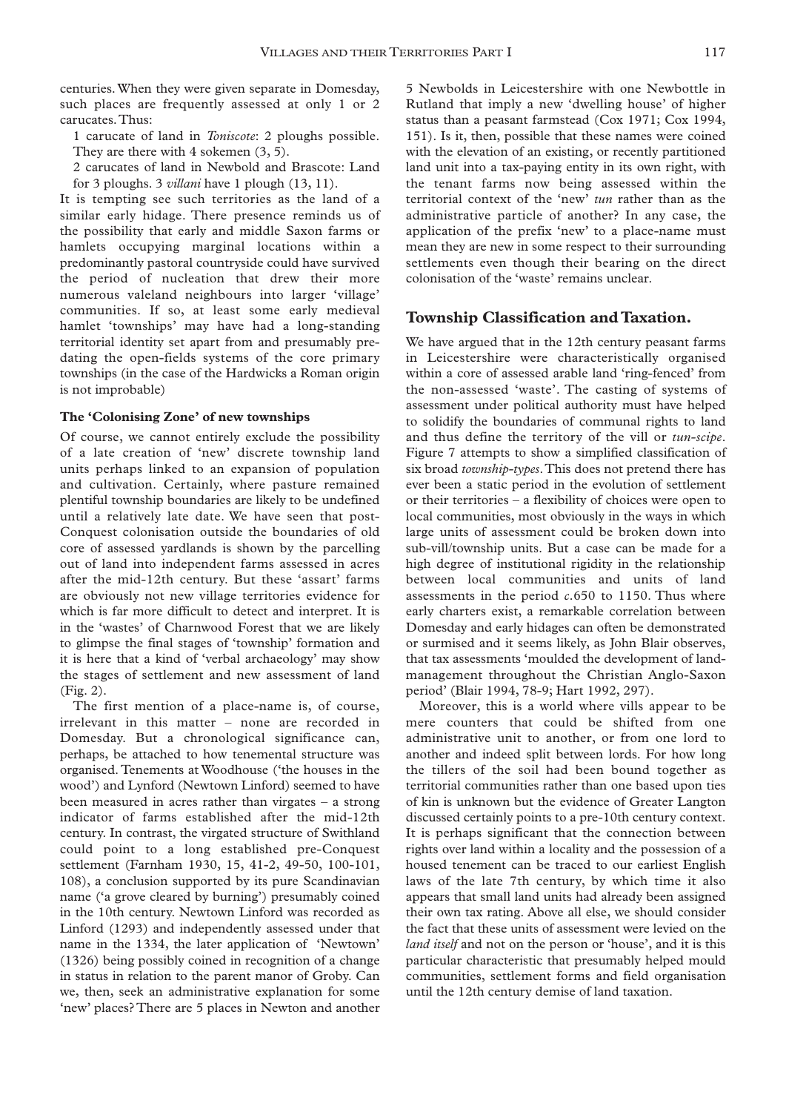centuries. When they were given separate in Domesday, such places are frequently assessed at only 1 or 2 carucates.Thus:

1 carucate of land in *Toniscote*: 2 ploughs possible. They are there with 4 sokemen  $(3, 5)$ .

2 carucates of land in Newbold and Brascote: Land for 3 ploughs. 3 *villani* have 1 plough (13, 11).

It is tempting see such territories as the land of a similar early hidage. There presence reminds us of the possibility that early and middle Saxon farms or hamlets occupying marginal locations within a predominantly pastoral countryside could have survived the period of nucleation that drew their more numerous valeland neighbours into larger 'village' communities. If so, at least some early medieval hamlet 'townships' may have had a long-standing territorial identity set apart from and presumably predating the open-fields systems of the core primary townships (in the case of the Hardwicks a Roman origin is not improbable)

#### **The 'Colonising Zone' of new townships**

Of course, we cannot entirely exclude the possibility of a late creation of 'new' discrete township land units perhaps linked to an expansion of population and cultivation. Certainly, where pasture remained plentiful township boundaries are likely to be undefined until a relatively late date. We have seen that post-Conquest colonisation outside the boundaries of old core of assessed yardlands is shown by the parcelling out of land into independent farms assessed in acres after the mid-12th century. But these 'assart' farms are obviously not new village territories evidence for which is far more difficult to detect and interpret. It is in the 'wastes' of Charnwood Forest that we are likely to glimpse the final stages of 'township' formation and it is here that a kind of 'verbal archaeology' may show the stages of settlement and new assessment of land (Fig. 2).

The first mention of a place-name is, of course, irrelevant in this matter – none are recorded in Domesday. But a chronological significance can, perhaps, be attached to how tenemental structure was organised. Tenements at Woodhouse ('the houses in the wood') and Lynford (Newtown Linford) seemed to have been measured in acres rather than virgates – a strong indicator of farms established after the mid-12th century. In contrast, the virgated structure of Swithland could point to a long established pre-Conquest settlement (Farnham 1930, 15, 41-2, 49-50, 100-101, 108), a conclusion supported by its pure Scandinavian name ('a grove cleared by burning') presumably coined in the 10th century. Newtown Linford was recorded as Linford (1293) and independently assessed under that name in the 1334, the later application of 'Newtown' (1326) being possibly coined in recognition of a change in status in relation to the parent manor of Groby. Can we, then, seek an administrative explanation for some 'new' places? There are 5 places in Newton and another

5 Newbolds in Leicestershire with one Newbottle in Rutland that imply a new 'dwelling house' of higher status than a peasant farmstead (Cox 1971; Cox 1994, 151). Is it, then, possible that these names were coined with the elevation of an existing, or recently partitioned land unit into a tax-paying entity in its own right, with the tenant farms now being assessed within the territorial context of the 'new' *tun* rather than as the administrative particle of another? In any case, the application of the prefix 'new' to a place-name must mean they are new in some respect to their surrounding settlements even though their bearing on the direct colonisation of the 'waste' remains unclear.

## **Township Classification and Taxation.**

We have argued that in the 12th century peasant farms in Leicestershire were characteristically organised within a core of assessed arable land 'ring-fenced' from the non-assessed 'waste'. The casting of systems of assessment under political authority must have helped to solidify the boundaries of communal rights to land and thus define the territory of the vill or *tun-scipe*. Figure 7 attempts to show a simplified classification of six broad *township-types*.This does not pretend there has ever been a static period in the evolution of settlement or their territories – a flexibility of choices were open to local communities, most obviously in the ways in which large units of assessment could be broken down into sub-vill/township units. But a case can be made for a high degree of institutional rigidity in the relationship between local communities and units of land assessments in the period *c*.650 to 1150. Thus where early charters exist, a remarkable correlation between Domesday and early hidages can often be demonstrated or surmised and it seems likely, as John Blair observes, that tax assessments 'moulded the development of landmanagement throughout the Christian Anglo-Saxon period' (Blair 1994, 78-9; Hart 1992, 297).

Moreover, this is a world where vills appear to be mere counters that could be shifted from one administrative unit to another, or from one lord to another and indeed split between lords. For how long the tillers of the soil had been bound together as territorial communities rather than one based upon ties of kin is unknown but the evidence of Greater Langton discussed certainly points to a pre-10th century context. It is perhaps significant that the connection between rights over land within a locality and the possession of a housed tenement can be traced to our earliest English laws of the late 7th century, by which time it also appears that small land units had already been assigned their own tax rating. Above all else, we should consider the fact that these units of assessment were levied on the *land itself* and not on the person or 'house', and it is this particular characteristic that presumably helped mould communities, settlement forms and field organisation until the 12th century demise of land taxation.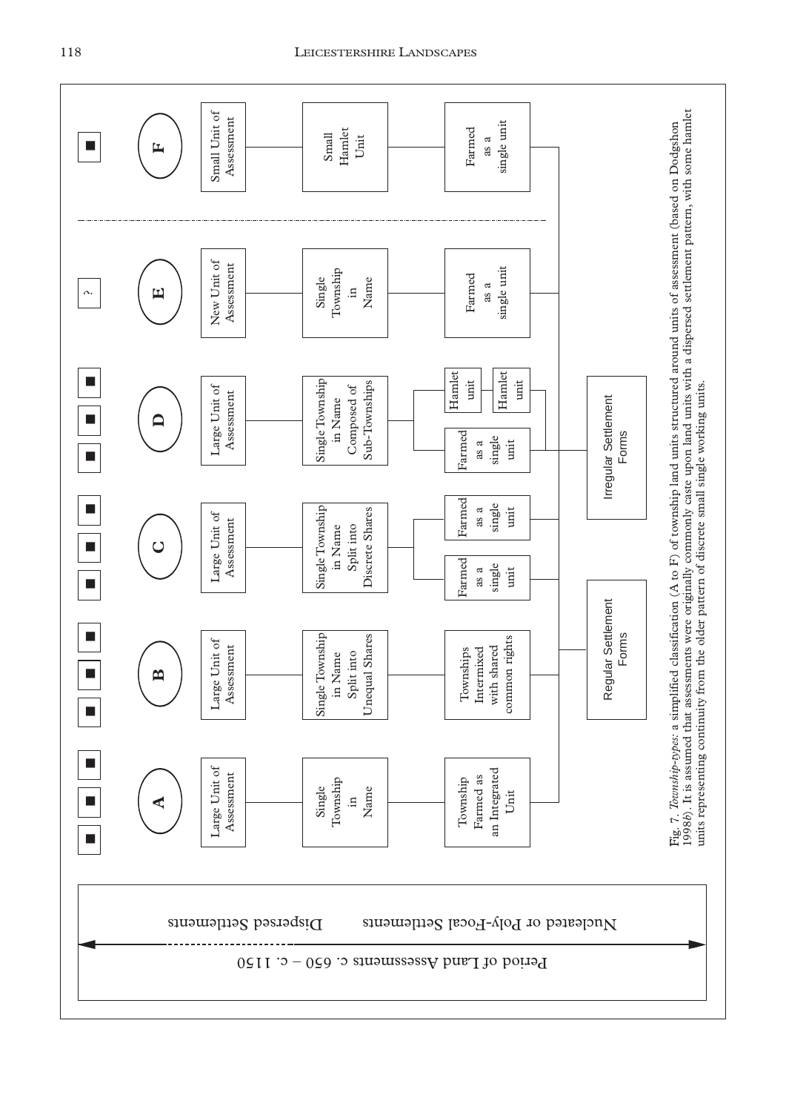